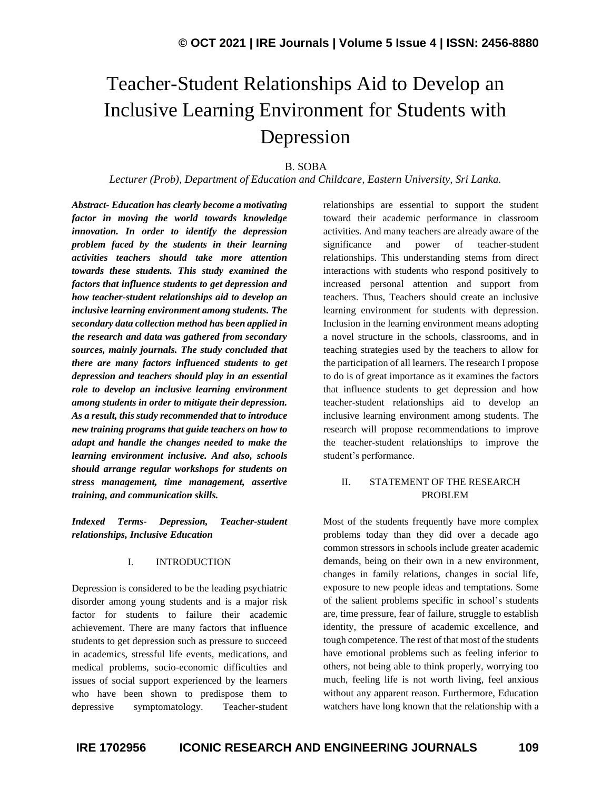# Teacher-Student Relationships Aid to Develop an Inclusive Learning Environment for Students with Depression

# B. SOBA

*Lecturer (Prob), Department of Education and Childcare, Eastern University, Sri Lanka.*

*Abstract- Education has clearly become a motivating factor in moving the world towards knowledge innovation. In order to identify the depression problem faced by the students in their learning activities teachers should take more attention towards these students. This study examined the factors that influence students to get depression and how teacher-student relationships aid to develop an inclusive learning environment among students. The secondary data collection method has been applied in the research and data was gathered from secondary sources, mainly journals. The study concluded that there are many factors influenced students to get depression and teachers should play in an essential role to develop an inclusive learning environment among students in order to mitigate their depression. As a result, this study recommended that to introduce new training programs that guide teachers on how to adapt and handle the changes needed to make the learning environment inclusive. And also, schools should arrange regular workshops for students on stress management, time management, assertive training, and communication skills.*

*Indexed Terms- Depression, Teacher-student relationships, Inclusive Education*

#### I. INTRODUCTION

Depression is considered to be the leading psychiatric disorder among young students and is a major risk factor for students to failure their academic achievement. There are many factors that influence students to get depression such as pressure to succeed in academics, stressful life events, medications, and medical problems, socio-economic difficulties and issues of social support experienced by the learners who have been shown to predispose them to depressive symptomatology. Teacher-student relationships are essential to support the student toward their academic performance in classroom activities. And many teachers are already aware of the significance and power of teacher-student relationships. This understanding stems from direct interactions with students who respond positively to increased personal attention and support from teachers. Thus, Teachers should create an inclusive learning environment for students with depression. Inclusion in the learning environment means adopting a novel structure in the schools, classrooms, and in teaching strategies used by the teachers to allow for the participation of all learners. The research I propose to do is of great importance as it examines the factors that influence students to get depression and how teacher-student relationships aid to develop an inclusive learning environment among students. The research will propose recommendations to improve the teacher-student relationships to improve the student's performance.

### II. STATEMENT OF THE RESEARCH PROBLEM

Most of the students frequently have more complex problems today than they did over a decade ago common stressors in schools include greater academic demands, being on their own in a new environment, changes in family relations, changes in social life, exposure to new people ideas and temptations. Some of the salient problems specific in school's students are, time pressure, fear of failure, struggle to establish identity, the pressure of academic excellence, and tough competence. The rest of that most of the students have emotional problems such as feeling inferior to others, not being able to think properly, worrying too much, feeling life is not worth living, feel anxious without any apparent reason. Furthermore, Education watchers have long known that the relationship with a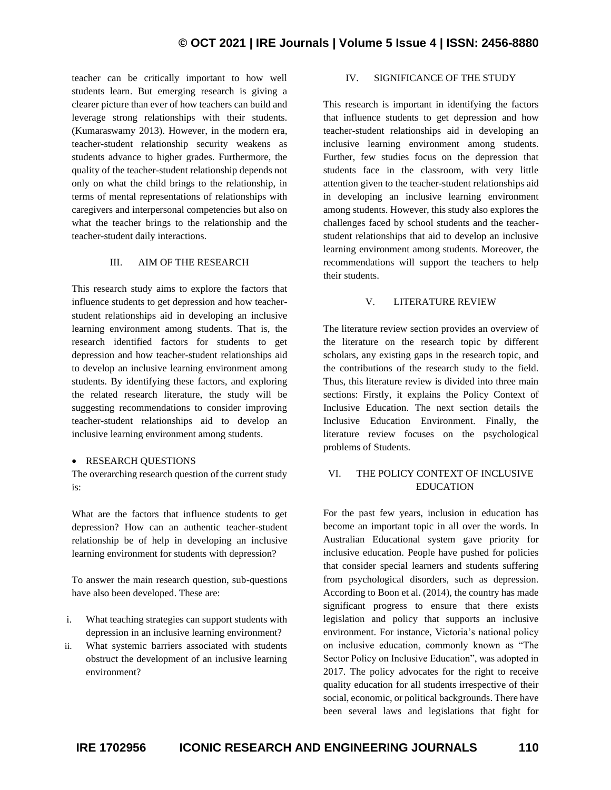teacher can be critically important to how well students learn. But emerging research is giving a clearer picture than ever of how teachers can build and leverage strong relationships with their students. (Kumaraswamy 2013). However, in the modern era, teacher-student relationship security weakens as students advance to higher grades. Furthermore, the quality of the teacher-student relationship depends not only on what the child brings to the relationship, in terms of mental representations of relationships with caregivers and interpersonal competencies but also on what the teacher brings to the relationship and the teacher-student daily interactions.

#### III. AIM OF THE RESEARCH

This research study aims to explore the factors that influence students to get depression and how teacherstudent relationships aid in developing an inclusive learning environment among students. That is, the research identified factors for students to get depression and how teacher-student relationships aid to develop an inclusive learning environment among students. By identifying these factors, and exploring the related research literature, the study will be suggesting recommendations to consider improving teacher-student relationships aid to develop an inclusive learning environment among students.

#### • RESEARCH OUESTIONS

The overarching research question of the current study is:

What are the factors that influence students to get depression? How can an authentic teacher-student relationship be of help in developing an inclusive learning environment for students with depression?

To answer the main research question, sub-questions have also been developed. These are:

- i. What teaching strategies can support students with depression in an inclusive learning environment?
- ii. What systemic barriers associated with students obstruct the development of an inclusive learning environment?

# IV. SIGNIFICANCE OF THE STUDY

This research is important in identifying the factors that influence students to get depression and how teacher-student relationships aid in developing an inclusive learning environment among students. Further, few studies focus on the depression that students face in the classroom, with very little attention given to the teacher-student relationships aid in developing an inclusive learning environment among students. However, this study also explores the challenges faced by school students and the teacherstudent relationships that aid to develop an inclusive learning environment among students. Moreover, the recommendations will support the teachers to help their students.

#### V. LITERATURE REVIEW

The literature review section provides an overview of the literature on the research topic by different scholars, any existing gaps in the research topic, and the contributions of the research study to the field. Thus, this literature review is divided into three main sections: Firstly, it explains the Policy Context of Inclusive Education. The next section details the Inclusive Education Environment. Finally, the literature review focuses on the psychological problems of Students.

# VI. THE POLICY CONTEXT OF INCLUSIVE EDUCATION

For the past few years, inclusion in education has become an important topic in all over the words. In Australian Educational system gave priority for inclusive education. People have pushed for policies that consider special learners and students suffering from psychological disorders, such as depression. According to Boon et al. (2014), the country has made significant progress to ensure that there exists legislation and policy that supports an inclusive environment. For instance, Victoria's national policy on inclusive education, commonly known as "The Sector Policy on Inclusive Education", was adopted in 2017. The policy advocates for the right to receive quality education for all students irrespective of their social, economic, or political backgrounds. There have been several laws and legislations that fight for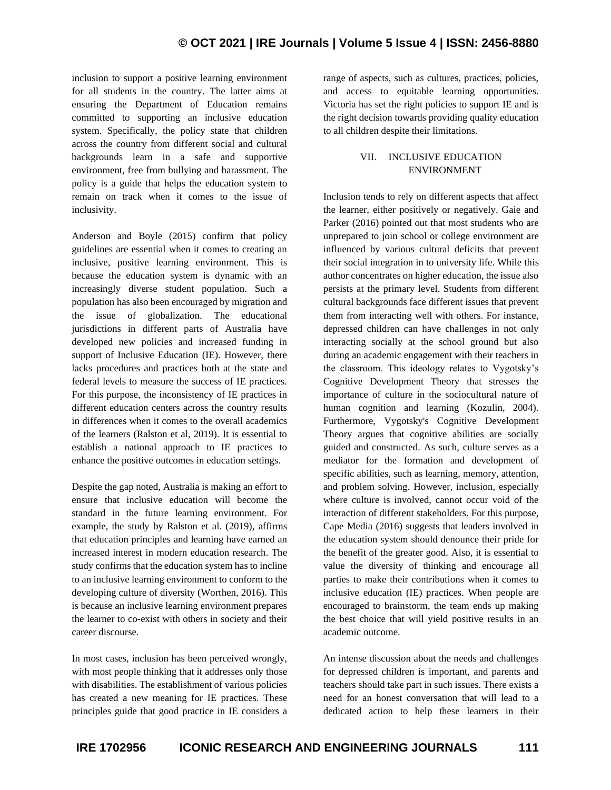inclusion to support a positive learning environment for all students in the country. The latter aims at ensuring the Department of Education remains committed to supporting an inclusive education system. Specifically, the policy state that children across the country from different social and cultural backgrounds learn in a safe and supportive environment, free from bullying and harassment. The policy is a guide that helps the education system to remain on track when it comes to the issue of inclusivity.

Anderson and Boyle (2015) confirm that policy guidelines are essential when it comes to creating an inclusive, positive learning environment. This is because the education system is dynamic with an increasingly diverse student population. Such a population has also been encouraged by migration and the issue of globalization. The educational jurisdictions in different parts of Australia have developed new policies and increased funding in support of Inclusive Education (IE). However, there lacks procedures and practices both at the state and federal levels to measure the success of IE practices. For this purpose, the inconsistency of IE practices in different education centers across the country results in differences when it comes to the overall academics of the learners (Ralston et al, 2019). It is essential to establish a national approach to IE practices to enhance the positive outcomes in education settings.

Despite the gap noted, Australia is making an effort to ensure that inclusive education will become the standard in the future learning environment. For example, the study by Ralston et al. (2019), affirms that education principles and learning have earned an increased interest in modern education research. The study confirms that the education system has to incline to an inclusive learning environment to conform to the developing culture of diversity (Worthen, 2016). This is because an inclusive learning environment prepares the learner to co-exist with others in society and their career discourse.

In most cases, inclusion has been perceived wrongly, with most people thinking that it addresses only those with disabilities. The establishment of various policies has created a new meaning for IE practices. These principles guide that good practice in IE considers a range of aspects, such as cultures, practices, policies, and access to equitable learning opportunities. Victoria has set the right policies to support IE and is the right decision towards providing quality education to all children despite their limitations.

# VII. INCLUSIVE EDUCATION ENVIRONMENT

Inclusion tends to rely on different aspects that affect the learner, either positively or negatively. Gaie and Parker (2016) pointed out that most students who are unprepared to join school or college environment are influenced by various cultural deficits that prevent their social integration in to university life. While this author concentrates on higher education, the issue also persists at the primary level. Students from different cultural backgrounds face different issues that prevent them from interacting well with others. For instance, depressed children can have challenges in not only interacting socially at the school ground but also during an academic engagement with their teachers in the classroom. This ideology relates to Vygotsky's Cognitive Development Theory that stresses the importance of culture in the sociocultural nature of human cognition and learning (Kozulin, 2004). Furthermore, Vygotsky's Cognitive Development Theory argues that cognitive abilities are socially guided and constructed. As such, culture serves as a mediator for the formation and development of specific abilities, such as learning, memory, attention, and problem solving. However, inclusion, especially where culture is involved, cannot occur void of the interaction of different stakeholders. For this purpose, Cape Media (2016) suggests that leaders involved in the education system should denounce their pride for the benefit of the greater good. Also, it is essential to value the diversity of thinking and encourage all parties to make their contributions when it comes to inclusive education (IE) practices. When people are encouraged to brainstorm, the team ends up making the best choice that will yield positive results in an academic outcome.

An intense discussion about the needs and challenges for depressed children is important, and parents and teachers should take part in such issues. There exists a need for an honest conversation that will lead to a dedicated action to help these learners in their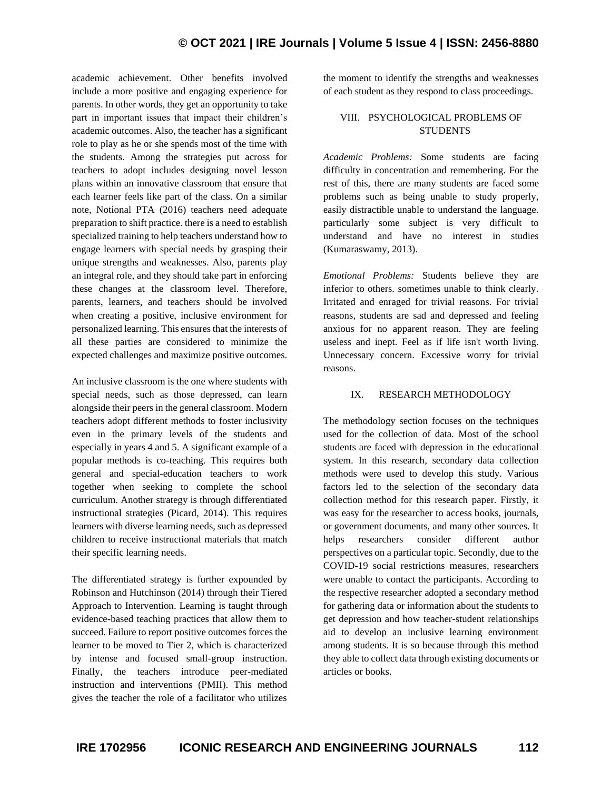# **© OCT 2021 | IRE Journals | Volume 5 Issue 4 | ISSN: 2456-8880**

academic achievement. Other benefits involved include a more positive and engaging experience for parents. In other words, they get an opportunity to take part in important issues that impact their children's academic outcomes. Also, the teacher has a significant role to play as he or she spends most of the time with the students. Among the strategies put across for teachers to adopt includes designing novel lesson plans within an innovative classroom that ensure that each learner feels like part of the class. On a similar note, Notional PTA (2016) teachers need adequate preparation to shift practice. there is a need to establish specialized training to help teachers understand how to engage learners with special needs by grasping their unique strengths and weaknesses. Also, parents play an integral role, and they should take part in enforcing these changes at the classroom level. Therefore, parents, learners, and teachers should be involved when creating a positive, inclusive environment for personalized learning. This ensures that the interests of all these parties are considered to minimize the expected challenges and maximize positive outcomes.

An inclusive classroom is the one where students with special needs, such as those depressed, can learn alongside their peers in the general classroom. Modern teachers adopt different methods to foster inclusivity even in the primary levels of the students and especially in years 4 and 5. A significant example of a popular methods is co-teaching. This requires both general and special-education teachers to work together when seeking to complete the school curriculum. Another strategy is through differentiated instructional strategies (Picard, 2014). This requires learners with diverse learning needs, such as depressed children to receive instructional materials that match their specific learning needs.

The differentiated strategy is further expounded by Robinson and Hutchinson (2014) through their Tiered Approach to Intervention. Learning is taught through evidence-based teaching practices that allow them to succeed. Failure to report positive outcomes forces the learner to be moved to Tier 2, which is characterized by intense and focused small-group instruction. Finally, the teachers introduce peer-mediated instruction and interventions (PMII). This method gives the teacher the role of a facilitator who utilizes the moment to identify the strengths and weaknesses of each student as they respond to class proceedings.

# VIII. PSYCHOLOGICAL PROBLEMS OF **STUDENTS**

*Academic Problems:* Some students are facing difficulty in concentration and remembering. For the rest of this, there are many students are faced some problems such as being unable to study properly, easily distractible unable to understand the language. particularly some subject is very difficult to understand and have no interest in studies (Kumaraswamy, 2013).

*Emotional Problems:* Students believe they are inferior to others. sometimes unable to think clearly. Irritated and enraged for trivial reasons. For trivial reasons, students are sad and depressed and feeling anxious for no apparent reason. They are feeling useless and inept. Feel as if life isn't worth living. Unnecessary concern. Excessive worry for trivial reasons.

#### IX. RESEARCH METHODOLOGY

The methodology section focuses on the techniques used for the collection of data. Most of the school students are faced with depression in the educational system. In this research, secondary data collection methods were used to develop this study. Various factors led to the selection of the secondary data collection method for this research paper. Firstly, it was easy for the researcher to access books, journals, or government documents, and many other sources. It helps researchers consider different author perspectives on a particular topic. Secondly, due to the COVID-19 social restrictions measures, researchers were unable to contact the participants. According to the respective researcher adopted a secondary method for gathering data or information about the students to get depression and how teacher-student relationships aid to develop an inclusive learning environment among students. It is so because through this method they able to collect data through existing documents or articles or books.